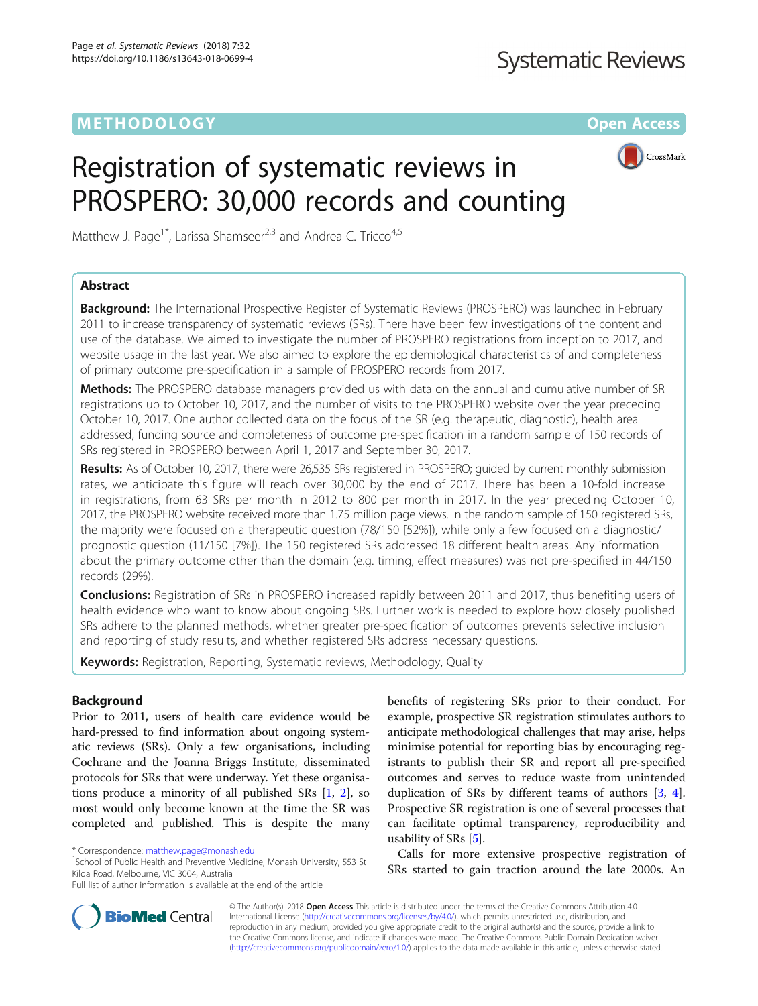# METHODOLOGY CONTROL CONTROL CONTROL CONTROL CONTROL CONTROL CONTROL CONTROL CONTROL CONTROL CONTROL CONTROL CO



# Registration of systematic reviews in PROSPERO: 30,000 records and counting

Matthew J. Page<sup>1\*</sup>, Larissa Shamseer<sup>2,3</sup> and Andrea C. Tricco<sup>4,5</sup>

# Abstract

Background: The International Prospective Register of Systematic Reviews (PROSPERO) was launched in February 2011 to increase transparency of systematic reviews (SRs). There have been few investigations of the content and use of the database. We aimed to investigate the number of PROSPERO registrations from inception to 2017, and website usage in the last year. We also aimed to explore the epidemiological characteristics of and completeness of primary outcome pre-specification in a sample of PROSPERO records from 2017.

Methods: The PROSPERO database managers provided us with data on the annual and cumulative number of SR registrations up to October 10, 2017, and the number of visits to the PROSPERO website over the year preceding October 10, 2017. One author collected data on the focus of the SR (e.g. therapeutic, diagnostic), health area addressed, funding source and completeness of outcome pre-specification in a random sample of 150 records of SRs registered in PROSPERO between April 1, 2017 and September 30, 2017.

Results: As of October 10, 2017, there were 26,535 SRs registered in PROSPERO; quided by current monthly submission rates, we anticipate this figure will reach over 30,000 by the end of 2017. There has been a 10-fold increase in registrations, from 63 SRs per month in 2012 to 800 per month in 2017. In the year preceding October 10, 2017, the PROSPERO website received more than 1.75 million page views. In the random sample of 150 registered SRs, the majority were focused on a therapeutic question (78/150 [52%]), while only a few focused on a diagnostic/ prognostic question (11/150 [7%]). The 150 registered SRs addressed 18 different health areas. Any information about the primary outcome other than the domain (e.g. timing, effect measures) was not pre-specified in 44/150 records (29%).

Conclusions: Registration of SRs in PROSPERO increased rapidly between 2011 and 2017, thus benefiting users of health evidence who want to know about ongoing SRs. Further work is needed to explore how closely published SRs adhere to the planned methods, whether greater pre-specification of outcomes prevents selective inclusion and reporting of study results, and whether registered SRs address necessary questions.

**Keywords:** Registration, Reporting, Systematic reviews, Methodology, Quality

# Background

Prior to 2011, users of health care evidence would be hard-pressed to find information about ongoing systematic reviews (SRs). Only a few organisations, including Cochrane and the Joanna Briggs Institute, disseminated protocols for SRs that were underway. Yet these organisations produce a minority of all published SRs [\[1,](#page-7-0) [2](#page-7-0)], so most would only become known at the time the SR was completed and published. This is despite the many

<sup>1</sup>School of Public Health and Preventive Medicine, Monash University, 553 St Kilda Road, Melbourne, VIC 3004, Australia

benefits of registering SRs prior to their conduct. For example, prospective SR registration stimulates authors to anticipate methodological challenges that may arise, helps minimise potential for reporting bias by encouraging registrants to publish their SR and report all pre-specified outcomes and serves to reduce waste from unintended duplication of SRs by different teams of authors [\[3,](#page-7-0) [4](#page-7-0)]. Prospective SR registration is one of several processes that can facilitate optimal transparency, reproducibility and usability of SRs [\[5](#page-7-0)].

Calls for more extensive prospective registration of SRs started to gain traction around the late 2000s. An



© The Author(s). 2018 Open Access This article is distributed under the terms of the Creative Commons Attribution 4.0 International License [\(http://creativecommons.org/licenses/by/4.0/](http://creativecommons.org/licenses/by/4.0/)), which permits unrestricted use, distribution, and reproduction in any medium, provided you give appropriate credit to the original author(s) and the source, provide a link to the Creative Commons license, and indicate if changes were made. The Creative Commons Public Domain Dedication waiver [\(http://creativecommons.org/publicdomain/zero/1.0/](http://creativecommons.org/publicdomain/zero/1.0/)) applies to the data made available in this article, unless otherwise stated.

<sup>\*</sup> Correspondence: [matthew.page@monash.edu](mailto:matthew.page@monash.edu) <sup>1</sup>

Full list of author information is available at the end of the article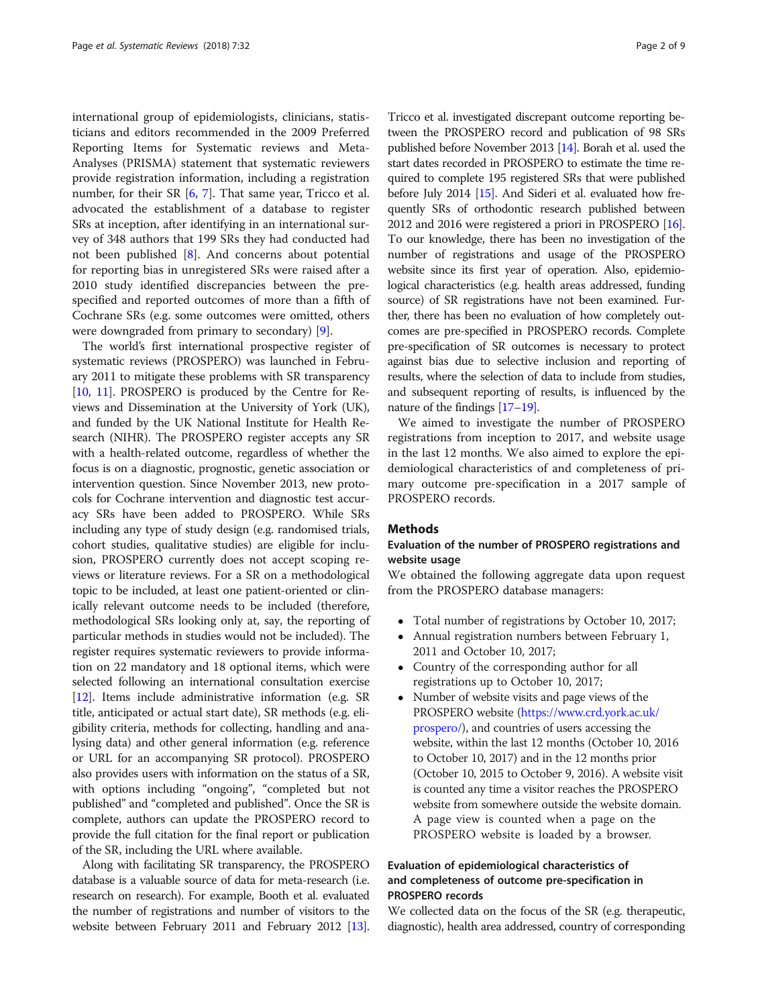international group of epidemiologists, clinicians, statisticians and editors recommended in the 2009 Preferred Reporting Items for Systematic reviews and Meta-Analyses (PRISMA) statement that systematic reviewers provide registration information, including a registration number, for their SR [[6](#page-7-0), [7\]](#page-7-0). That same year, Tricco et al. advocated the establishment of a database to register SRs at inception, after identifying in an international survey of 348 authors that 199 SRs they had conducted had not been published [\[8](#page-7-0)]. And concerns about potential for reporting bias in unregistered SRs were raised after a 2010 study identified discrepancies between the prespecified and reported outcomes of more than a fifth of Cochrane SRs (e.g. some outcomes were omitted, others were downgraded from primary to secondary) [\[9](#page-7-0)].

The world's first international prospective register of systematic reviews (PROSPERO) was launched in February 2011 to mitigate these problems with SR transparency [[10](#page-7-0), [11](#page-7-0)]. PROSPERO is produced by the Centre for Reviews and Dissemination at the University of York (UK), and funded by the UK National Institute for Health Research (NIHR). The PROSPERO register accepts any SR with a health-related outcome, regardless of whether the focus is on a diagnostic, prognostic, genetic association or intervention question. Since November 2013, new protocols for Cochrane intervention and diagnostic test accuracy SRs have been added to PROSPERO. While SRs including any type of study design (e.g. randomised trials, cohort studies, qualitative studies) are eligible for inclusion, PROSPERO currently does not accept scoping reviews or literature reviews. For a SR on a methodological topic to be included, at least one patient-oriented or clinically relevant outcome needs to be included (therefore, methodological SRs looking only at, say, the reporting of particular methods in studies would not be included). The register requires systematic reviewers to provide information on 22 mandatory and 18 optional items, which were selected following an international consultation exercise [[12](#page-7-0)]. Items include administrative information (e.g. SR title, anticipated or actual start date), SR methods (e.g. eligibility criteria, methods for collecting, handling and analysing data) and other general information (e.g. reference or URL for an accompanying SR protocol). PROSPERO also provides users with information on the status of a SR, with options including "ongoing", "completed but not published" and "completed and published". Once the SR is complete, authors can update the PROSPERO record to provide the full citation for the final report or publication of the SR, including the URL where available.

Along with facilitating SR transparency, the PROSPERO database is a valuable source of data for meta-research (i.e. research on research). For example, Booth et al. evaluated the number of registrations and number of visitors to the website between February 2011 and February 2012 [\[13](#page-7-0)].

Tricco et al. investigated discrepant outcome reporting between the PROSPERO record and publication of 98 SRs published before November 2013 [\[14](#page-7-0)]. Borah et al. used the start dates recorded in PROSPERO to estimate the time required to complete 195 registered SRs that were published before July 2014 [\[15\]](#page-7-0). And Sideri et al. evaluated how frequently SRs of orthodontic research published between 2012 and 2016 were registered a priori in PROSPERO [\[16](#page-7-0)]. To our knowledge, there has been no investigation of the number of registrations and usage of the PROSPERO website since its first year of operation. Also, epidemiological characteristics (e.g. health areas addressed, funding source) of SR registrations have not been examined. Further, there has been no evaluation of how completely outcomes are pre-specified in PROSPERO records. Complete pre-specification of SR outcomes is necessary to protect against bias due to selective inclusion and reporting of results, where the selection of data to include from studies, and subsequent reporting of results, is influenced by the nature of the findings [\[17](#page-7-0)–[19](#page-7-0)].

We aimed to investigate the number of PROSPERO registrations from inception to 2017, and website usage in the last 12 months. We also aimed to explore the epidemiological characteristics of and completeness of primary outcome pre-specification in a 2017 sample of PROSPERO records.

## Methods

# Evaluation of the number of PROSPERO registrations and website usage

We obtained the following aggregate data upon request from the PROSPERO database managers:

- Total number of registrations by October 10, 2017;
- Annual registration numbers between February 1, 2011 and October 10, 2017;
- Country of the corresponding author for all registrations up to October 10, 2017;
- Number of website visits and page views of the PROSPERO website [\(https://www.crd.york.ac.uk/](https://www.crd.york.ac.uk/prospero) [prospero/\)](https://www.crd.york.ac.uk/prospero), and countries of users accessing the website, within the last 12 months (October 10, 2016 to October 10, 2017) and in the 12 months prior (October 10, 2015 to October 9, 2016). A website visit is counted any time a visitor reaches the PROSPERO website from somewhere outside the website domain. A page view is counted when a page on the PROSPERO website is loaded by a browser.

# Evaluation of epidemiological characteristics of and completeness of outcome pre-specification in PROSPERO records

We collected data on the focus of the SR (e.g. therapeutic, diagnostic), health area addressed, country of corresponding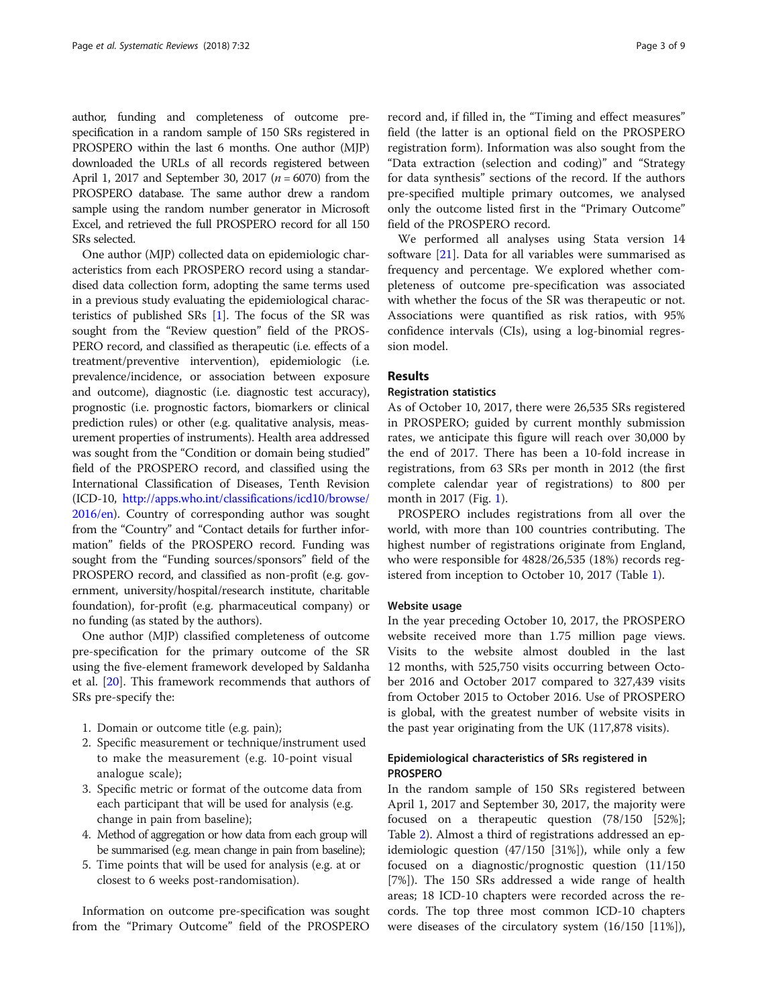author, funding and completeness of outcome prespecification in a random sample of 150 SRs registered in PROSPERO within the last 6 months. One author (MJP) downloaded the URLs of all records registered between April 1, 2017 and September 30, 2017 ( $n = 6070$ ) from the PROSPERO database. The same author drew a random sample using the random number generator in Microsoft Excel, and retrieved the full PROSPERO record for all 150 SRs selected.

One author (MJP) collected data on epidemiologic characteristics from each PROSPERO record using a standardised data collection form, adopting the same terms used in a previous study evaluating the epidemiological characteristics of published SRs [\[1\]](#page-7-0). The focus of the SR was sought from the "Review question" field of the PROS-PERO record, and classified as therapeutic (i.e. effects of a treatment/preventive intervention), epidemiologic (i.e. prevalence/incidence, or association between exposure and outcome), diagnostic (i.e. diagnostic test accuracy), prognostic (i.e. prognostic factors, biomarkers or clinical prediction rules) or other (e.g. qualitative analysis, measurement properties of instruments). Health area addressed was sought from the "Condition or domain being studied" field of the PROSPERO record, and classified using the International Classification of Diseases, Tenth Revision (ICD-10, [http://apps.who.int/classifications/icd10/browse/](http://apps.who.int/classifications/icd10/browse/2016/en) [2016/en](http://apps.who.int/classifications/icd10/browse/2016/en)). Country of corresponding author was sought from the "Country" and "Contact details for further information" fields of the PROSPERO record. Funding was sought from the "Funding sources/sponsors" field of the PROSPERO record, and classified as non-profit (e.g. government, university/hospital/research institute, charitable foundation), for-profit (e.g. pharmaceutical company) or no funding (as stated by the authors).

One author (MJP) classified completeness of outcome pre-specification for the primary outcome of the SR using the five-element framework developed by Saldanha et al. [[20\]](#page-7-0). This framework recommends that authors of SRs pre-specify the:

- 1. Domain or outcome title (e.g. pain);
- 2. Specific measurement or technique/instrument used to make the measurement (e.g. 10-point visual analogue scale);
- 3. Specific metric or format of the outcome data from each participant that will be used for analysis (e.g. change in pain from baseline);
- 4. Method of aggregation or how data from each group will be summarised (e.g. mean change in pain from baseline);
- 5. Time points that will be used for analysis (e.g. at or closest to 6 weeks post-randomisation).

Information on outcome pre-specification was sought from the "Primary Outcome" field of the PROSPERO

record and, if filled in, the "Timing and effect measures" field (the latter is an optional field on the PROSPERO registration form). Information was also sought from the "Data extraction (selection and coding)" and "Strategy for data synthesis" sections of the record. If the authors pre-specified multiple primary outcomes, we analysed only the outcome listed first in the "Primary Outcome" field of the PROSPERO record.

We performed all analyses using Stata version 14 software [[21\]](#page-7-0). Data for all variables were summarised as frequency and percentage. We explored whether completeness of outcome pre-specification was associated with whether the focus of the SR was therapeutic or not. Associations were quantified as risk ratios, with 95% confidence intervals (CIs), using a log-binomial regression model.

# Results

## Registration statistics

As of October 10, 2017, there were 26,535 SRs registered in PROSPERO; guided by current monthly submission rates, we anticipate this figure will reach over 30,000 by the end of 2017. There has been a 10-fold increase in registrations, from 63 SRs per month in 2012 (the first complete calendar year of registrations) to 800 per month in 2017 (Fig. [1\)](#page-3-0).

PROSPERO includes registrations from all over the world, with more than 100 countries contributing. The highest number of registrations originate from England, who were responsible for 4828/26,535 (18%) records registered from inception to October 10, 2017 (Table [1](#page-3-0)).

## Website usage

In the year preceding October 10, 2017, the PROSPERO website received more than 1.75 million page views. Visits to the website almost doubled in the last 12 months, with 525,750 visits occurring between October 2016 and October 2017 compared to 327,439 visits from October 2015 to October 2016. Use of PROSPERO is global, with the greatest number of website visits in the past year originating from the UK (117,878 visits).

# Epidemiological characteristics of SRs registered in PROSPERO

In the random sample of 150 SRs registered between April 1, 2017 and September 30, 2017, the majority were focused on a therapeutic question (78/150 [52%]; Table [2\)](#page-4-0). Almost a third of registrations addressed an epidemiologic question (47/150 [31%]), while only a few focused on a diagnostic/prognostic question (11/150 [7%]). The 150 SRs addressed a wide range of health areas; 18 ICD-10 chapters were recorded across the records. The top three most common ICD-10 chapters were diseases of the circulatory system (16/150 [11%]),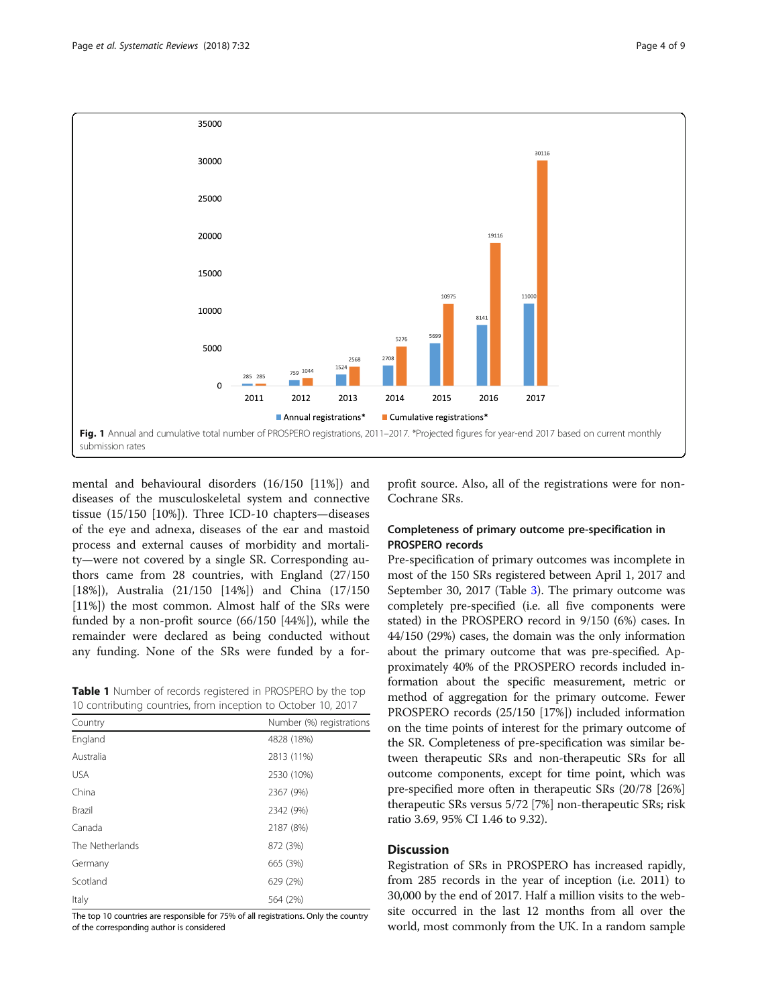<span id="page-3-0"></span>

mental and behavioural disorders (16/150 [11%]) and diseases of the musculoskeletal system and connective tissue (15/150 [10%]). Three ICD-10 chapters—diseases of the eye and adnexa, diseases of the ear and mastoid process and external causes of morbidity and mortality—were not covered by a single SR. Corresponding authors came from 28 countries, with England (27/150 [18%]), Australia (21/150 [14%]) and China (17/150 [11%]) the most common. Almost half of the SRs were funded by a non-profit source (66/150 [44%]), while the remainder were declared as being conducted without any funding. None of the SRs were funded by a for-

Table 1 Number of records registered in PROSPERO by the top 10 contributing countries, from inception to October 10, 2017

| commodering codmence) morn mecperon to october 10, 2017 |                          |  |  |  |
|---------------------------------------------------------|--------------------------|--|--|--|
| Country                                                 | Number (%) registrations |  |  |  |
| England                                                 | 4828 (18%)               |  |  |  |
| Australia                                               | 2813 (11%)               |  |  |  |
| <b>USA</b>                                              | 2530 (10%)               |  |  |  |
| China                                                   | 2367 (9%)                |  |  |  |
| Brazil                                                  | 2342 (9%)                |  |  |  |
| Canada                                                  | 2187 (8%)                |  |  |  |
| The Netherlands                                         | 872 (3%)                 |  |  |  |
| Germany                                                 | 665 (3%)                 |  |  |  |
| Scotland                                                | 629 (2%)                 |  |  |  |
| Italy                                                   | 564 (2%)                 |  |  |  |

The top 10 countries are responsible for 75% of all registrations. Only the country of the corresponding author is considered

profit source. Also, all of the registrations were for non-Cochrane SRs.

# Completeness of primary outcome pre-specification in PROSPERO records

Pre-specification of primary outcomes was incomplete in most of the 150 SRs registered between April 1, 2017 and September 30, 2017 (Table [3](#page-5-0)). The primary outcome was completely pre-specified (i.e. all five components were stated) in the PROSPERO record in 9/150 (6%) cases. In 44/150 (29%) cases, the domain was the only information about the primary outcome that was pre-specified. Approximately 40% of the PROSPERO records included information about the specific measurement, metric or method of aggregation for the primary outcome. Fewer PROSPERO records (25/150 [17%]) included information on the time points of interest for the primary outcome of the SR. Completeness of pre-specification was similar between therapeutic SRs and non-therapeutic SRs for all outcome components, except for time point, which was pre-specified more often in therapeutic SRs (20/78 [26%] therapeutic SRs versus 5/72 [7%] non-therapeutic SRs; risk ratio 3.69, 95% CI 1.46 to 9.32).

# **Discussion**

Registration of SRs in PROSPERO has increased rapidly, from 285 records in the year of inception (i.e. 2011) to 30,000 by the end of 2017. Half a million visits to the website occurred in the last 12 months from all over the world, most commonly from the UK. In a random sample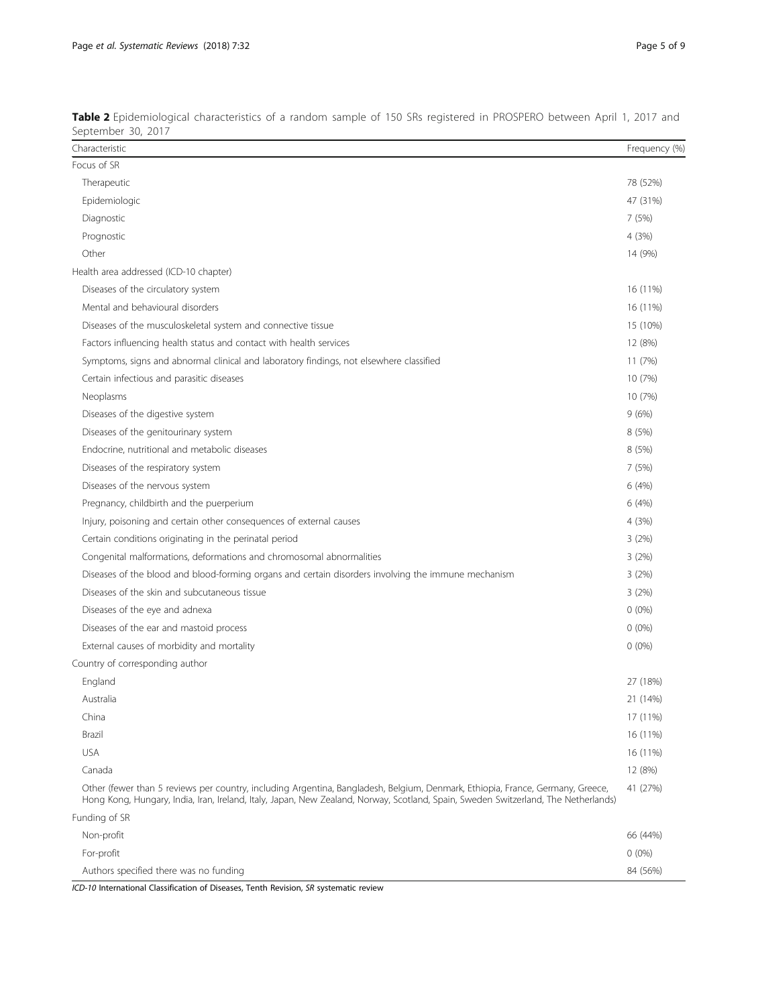| Characteristic                                                                                                                                                                                                                                                       | Frequency (%) |
|----------------------------------------------------------------------------------------------------------------------------------------------------------------------------------------------------------------------------------------------------------------------|---------------|
| Focus of SR                                                                                                                                                                                                                                                          |               |
| Therapeutic                                                                                                                                                                                                                                                          | 78 (52%)      |
| Epidemiologic                                                                                                                                                                                                                                                        | 47 (31%)      |
| Diagnostic                                                                                                                                                                                                                                                           | 7(5%)         |
| Prognostic                                                                                                                                                                                                                                                           | 4 (3%)        |
| Other                                                                                                                                                                                                                                                                | 14 (9%)       |
| Health area addressed (ICD-10 chapter)                                                                                                                                                                                                                               |               |
| Diseases of the circulatory system                                                                                                                                                                                                                                   | 16 (11%)      |
| Mental and behavioural disorders                                                                                                                                                                                                                                     | 16 (11%)      |
| Diseases of the musculoskeletal system and connective tissue                                                                                                                                                                                                         | 15 (10%)      |
| Factors influencing health status and contact with health services                                                                                                                                                                                                   | 12 (8%)       |
| Symptoms, signs and abnormal clinical and laboratory findings, not elsewhere classified                                                                                                                                                                              | 11(7%)        |
| Certain infectious and parasitic diseases                                                                                                                                                                                                                            | 10 (7%)       |
| Neoplasms                                                                                                                                                                                                                                                            | 10 (7%)       |
| Diseases of the digestive system                                                                                                                                                                                                                                     | 9(6%)         |
| Diseases of the genitourinary system                                                                                                                                                                                                                                 | 8(5%)         |
| Endocrine, nutritional and metabolic diseases                                                                                                                                                                                                                        | 8 (5%)        |
| Diseases of the respiratory system                                                                                                                                                                                                                                   | 7(5%)         |
| Diseases of the nervous system                                                                                                                                                                                                                                       | 6(4%)         |
| Pregnancy, childbirth and the puerperium                                                                                                                                                                                                                             | 6(4%)         |
| Injury, poisoning and certain other consequences of external causes                                                                                                                                                                                                  | 4 (3%)        |
| Certain conditions originating in the perinatal period                                                                                                                                                                                                               | 3(2%)         |
| Congenital malformations, deformations and chromosomal abnormalities                                                                                                                                                                                                 | 3(2%)         |
| Diseases of the blood and blood-forming organs and certain disorders involving the immune mechanism                                                                                                                                                                  | 3(2%)         |
| Diseases of the skin and subcutaneous tissue                                                                                                                                                                                                                         | 3(2%)         |
| Diseases of the eye and adnexa                                                                                                                                                                                                                                       | $0(0\%)$      |
| Diseases of the ear and mastoid process                                                                                                                                                                                                                              | $0(0\%)$      |
| External causes of morbidity and mortality                                                                                                                                                                                                                           | $0(0\%)$      |
| Country of corresponding author                                                                                                                                                                                                                                      |               |
| England                                                                                                                                                                                                                                                              | 27 (18%)      |
| Australia                                                                                                                                                                                                                                                            | 21 (14%)      |
| China                                                                                                                                                                                                                                                                | 17 (11%)      |
| Brazil                                                                                                                                                                                                                                                               | 16 (11%)      |
| <b>USA</b>                                                                                                                                                                                                                                                           | 16 (11%)      |
| Canada                                                                                                                                                                                                                                                               | 12 (8%)       |
| Other (fewer than 5 reviews per country, including Argentina, Bangladesh, Belgium, Denmark, Ethiopia, France, Germany, Greece,<br>Hong Kong, Hungary, India, Iran, Ireland, Italy, Japan, New Zealand, Norway, Scotland, Spain, Sweden Switzerland, The Netherlands) | 41 (27%)      |
| Funding of SR                                                                                                                                                                                                                                                        |               |
| Non-profit                                                                                                                                                                                                                                                           | 66 (44%)      |
| For-profit                                                                                                                                                                                                                                                           | $0(0\%)$      |
| Authors specified there was no funding                                                                                                                                                                                                                               | 84 (56%)      |

<span id="page-4-0"></span>Table 2 Epidemiological characteristics of a random sample of 150 SRs registered in PROSPERO between April 1, 2017 and September 30, 2017

ICD-10 International Classification of Diseases, Tenth Revision, SR systematic review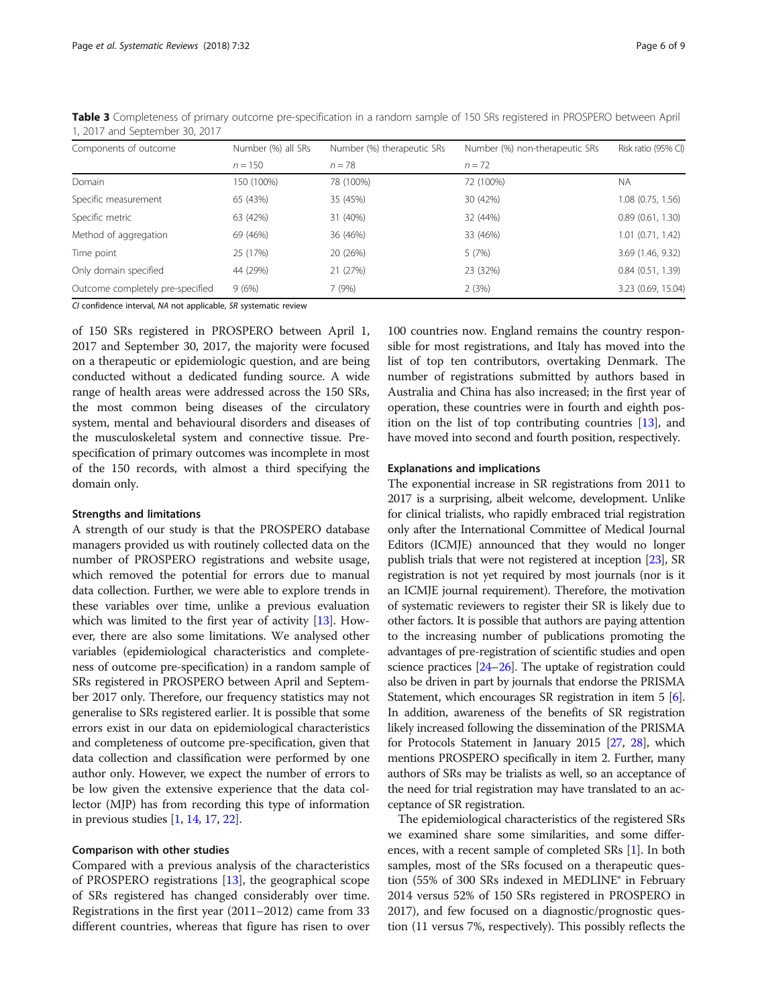| Components of outcome            | Number (%) all SRs<br>$n = 150$ | Number (%) therapeutic SRs<br>$n = 78$ | Number (%) non-therapeutic SRs<br>$n = 72$ | Risk ratio (95% CI) |
|----------------------------------|---------------------------------|----------------------------------------|--------------------------------------------|---------------------|
|                                  |                                 |                                        |                                            |                     |
| Specific measurement             | 65 (43%)                        | 35 (45%)                               | 30 (42%)                                   | 1.08 (0.75, 1.56)   |
| Specific metric                  | 63 (42%)                        | 31 (40%)                               | 32 (44%)                                   | 0.89(0.61, 1.30)    |
| Method of aggregation            | 69 (46%)                        | 36 (46%)                               | 33 (46%)                                   | 1.01 (0.71, 1.42)   |
| Time point                       | 25 (17%)                        | 20 (26%)                               | 5(7%)                                      | 3.69 (1.46, 9.32)   |
| Only domain specified            | 44 (29%)                        | 21 (27%)                               | 23 (32%)                                   | 0.84(0.51, 1.39)    |
| Outcome completely pre-specified | 9(6%)                           | 7(9%)                                  | 2(3%)                                      | 3.23 (0.69, 15.04)  |

<span id="page-5-0"></span>Table 3 Completeness of primary outcome pre-specification in a random sample of 150 SRs registered in PROSPERO between April 1, 2017 and September 30, 2017

CI confidence interval, NA not applicable, SR systematic review

of 150 SRs registered in PROSPERO between April 1, 2017 and September 30, 2017, the majority were focused on a therapeutic or epidemiologic question, and are being conducted without a dedicated funding source. A wide range of health areas were addressed across the 150 SRs, the most common being diseases of the circulatory system, mental and behavioural disorders and diseases of the musculoskeletal system and connective tissue. Prespecification of primary outcomes was incomplete in most of the 150 records, with almost a third specifying the domain only.

### Strengths and limitations

A strength of our study is that the PROSPERO database managers provided us with routinely collected data on the number of PROSPERO registrations and website usage, which removed the potential for errors due to manual data collection. Further, we were able to explore trends in these variables over time, unlike a previous evaluation which was limited to the first year of activity [\[13\]](#page-7-0). However, there are also some limitations. We analysed other variables (epidemiological characteristics and completeness of outcome pre-specification) in a random sample of SRs registered in PROSPERO between April and September 2017 only. Therefore, our frequency statistics may not generalise to SRs registered earlier. It is possible that some errors exist in our data on epidemiological characteristics and completeness of outcome pre-specification, given that data collection and classification were performed by one author only. However, we expect the number of errors to be low given the extensive experience that the data collector (MJP) has from recording this type of information in previous studies [\[1,](#page-7-0) [14](#page-7-0), [17,](#page-7-0) [22\]](#page-7-0).

## Comparison with other studies

Compared with a previous analysis of the characteristics of PROSPERO registrations [[13\]](#page-7-0), the geographical scope of SRs registered has changed considerably over time. Registrations in the first year (2011–2012) came from 33 different countries, whereas that figure has risen to over

100 countries now. England remains the country responsible for most registrations, and Italy has moved into the list of top ten contributors, overtaking Denmark. The number of registrations submitted by authors based in Australia and China has also increased; in the first year of operation, these countries were in fourth and eighth position on the list of top contributing countries [\[13](#page-7-0)], and have moved into second and fourth position, respectively.

#### Explanations and implications

The exponential increase in SR registrations from 2011 to 2017 is a surprising, albeit welcome, development. Unlike for clinical trialists, who rapidly embraced trial registration only after the International Committee of Medical Journal Editors (ICMJE) announced that they would no longer publish trials that were not registered at inception [\[23\]](#page-7-0), SR registration is not yet required by most journals (nor is it an ICMJE journal requirement). Therefore, the motivation of systematic reviewers to register their SR is likely due to other factors. It is possible that authors are paying attention to the increasing number of publications promoting the advantages of pre-registration of scientific studies and open science practices [[24](#page-7-0)–[26](#page-7-0)]. The uptake of registration could also be driven in part by journals that endorse the PRISMA Statement, which encourages SR registration in item 5 [[6](#page-7-0)]. In addition, awareness of the benefits of SR registration likely increased following the dissemination of the PRISMA for Protocols Statement in January 2015 [[27](#page-7-0), [28](#page-7-0)], which mentions PROSPERO specifically in item 2. Further, many authors of SRs may be trialists as well, so an acceptance of the need for trial registration may have translated to an acceptance of SR registration.

The epidemiological characteristics of the registered SRs we examined share some similarities, and some differences, with a recent sample of completed SRs [[1](#page-7-0)]. In both samples, most of the SRs focused on a therapeutic question (55% of 300 SRs indexed in MEDLINE® in February 2014 versus 52% of 150 SRs registered in PROSPERO in 2017), and few focused on a diagnostic/prognostic question (11 versus 7%, respectively). This possibly reflects the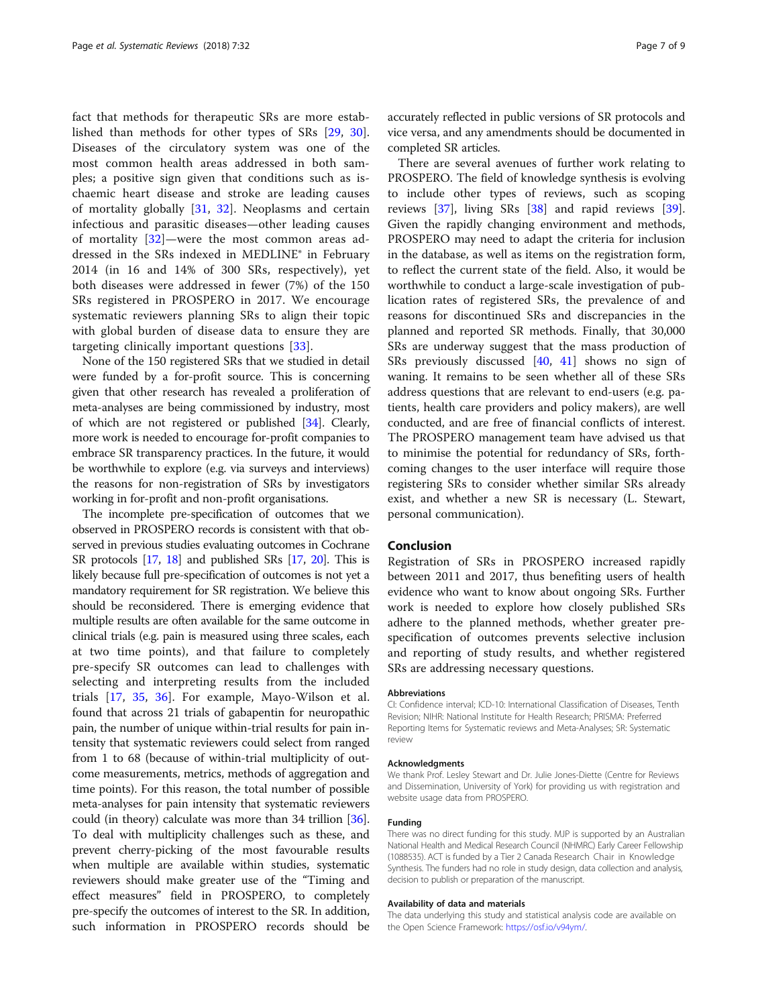fact that methods for therapeutic SRs are more established than methods for other types of SRs [[29,](#page-7-0) [30](#page-7-0)]. Diseases of the circulatory system was one of the most common health areas addressed in both samples; a positive sign given that conditions such as ischaemic heart disease and stroke are leading causes of mortality globally [\[31](#page-7-0), [32](#page-7-0)]. Neoplasms and certain infectious and parasitic diseases—other leading causes of mortality [[32\]](#page-7-0)—were the most common areas addressed in the SRs indexed in MEDLINE® in February 2014 (in 16 and 14% of 300 SRs, respectively), yet both diseases were addressed in fewer (7%) of the 150 SRs registered in PROSPERO in 2017. We encourage systematic reviewers planning SRs to align their topic with global burden of disease data to ensure they are targeting clinically important questions [[33\]](#page-7-0).

None of the 150 registered SRs that we studied in detail were funded by a for-profit source. This is concerning given that other research has revealed a proliferation of meta-analyses are being commissioned by industry, most of which are not registered or published [\[34](#page-7-0)]. Clearly, more work is needed to encourage for-profit companies to embrace SR transparency practices. In the future, it would be worthwhile to explore (e.g. via surveys and interviews) the reasons for non-registration of SRs by investigators working in for-profit and non-profit organisations.

The incomplete pre-specification of outcomes that we observed in PROSPERO records is consistent with that observed in previous studies evaluating outcomes in Cochrane SR protocols [\[17](#page-7-0), [18\]](#page-7-0) and published SRs [\[17](#page-7-0), [20\]](#page-7-0). This is likely because full pre-specification of outcomes is not yet a mandatory requirement for SR registration. We believe this should be reconsidered. There is emerging evidence that multiple results are often available for the same outcome in clinical trials (e.g. pain is measured using three scales, each at two time points), and that failure to completely pre-specify SR outcomes can lead to challenges with selecting and interpreting results from the included trials [\[17](#page-7-0), [35](#page-7-0), [36\]](#page-7-0). For example, Mayo-Wilson et al. found that across 21 trials of gabapentin for neuropathic pain, the number of unique within-trial results for pain intensity that systematic reviewers could select from ranged from 1 to 68 (because of within-trial multiplicity of outcome measurements, metrics, methods of aggregation and time points). For this reason, the total number of possible meta-analyses for pain intensity that systematic reviewers could (in theory) calculate was more than 34 trillion [[36](#page-7-0)]. To deal with multiplicity challenges such as these, and prevent cherry-picking of the most favourable results when multiple are available within studies, systematic reviewers should make greater use of the "Timing and effect measures" field in PROSPERO, to completely pre-specify the outcomes of interest to the SR. In addition, such information in PROSPERO records should be

accurately reflected in public versions of SR protocols and vice versa, and any amendments should be documented in completed SR articles.

There are several avenues of further work relating to PROSPERO. The field of knowledge synthesis is evolving to include other types of reviews, such as scoping reviews [\[37\]](#page-8-0), living SRs [\[38](#page-8-0)] and rapid reviews [\[39](#page-8-0)]. Given the rapidly changing environment and methods, PROSPERO may need to adapt the criteria for inclusion in the database, as well as items on the registration form, to reflect the current state of the field. Also, it would be worthwhile to conduct a large-scale investigation of publication rates of registered SRs, the prevalence of and reasons for discontinued SRs and discrepancies in the planned and reported SR methods. Finally, that 30,000 SRs are underway suggest that the mass production of SRs previously discussed [[40,](#page-8-0) [41](#page-8-0)] shows no sign of waning. It remains to be seen whether all of these SRs address questions that are relevant to end-users (e.g. patients, health care providers and policy makers), are well conducted, and are free of financial conflicts of interest. The PROSPERO management team have advised us that to minimise the potential for redundancy of SRs, forthcoming changes to the user interface will require those registering SRs to consider whether similar SRs already exist, and whether a new SR is necessary (L. Stewart, personal communication).

## Conclusion

Registration of SRs in PROSPERO increased rapidly between 2011 and 2017, thus benefiting users of health evidence who want to know about ongoing SRs. Further work is needed to explore how closely published SRs adhere to the planned methods, whether greater prespecification of outcomes prevents selective inclusion and reporting of study results, and whether registered SRs are addressing necessary questions.

#### Abbreviations

CI: Confidence interval; ICD-10: International Classification of Diseases, Tenth Revision; NIHR: National Institute for Health Research; PRISMA: Preferred Reporting Items for Systematic reviews and Meta-Analyses; SR: Systematic review

#### Acknowledgments

We thank Prof. Lesley Stewart and Dr. Julie Jones-Diette (Centre for Reviews and Dissemination, University of York) for providing us with registration and website usage data from PROSPERO.

#### Funding

There was no direct funding for this study. MJP is supported by an Australian National Health and Medical Research Council (NHMRC) Early Career Fellowship (1088535). ACT is funded by a Tier 2 Canada Research Chair in Knowledge Synthesis. The funders had no role in study design, data collection and analysis, decision to publish or preparation of the manuscript.

#### Availability of data and materials

The data underlying this study and statistical analysis code are available on the Open Science Framework: [https://osf.io/v94ym/.](https://osf.io/v94ym)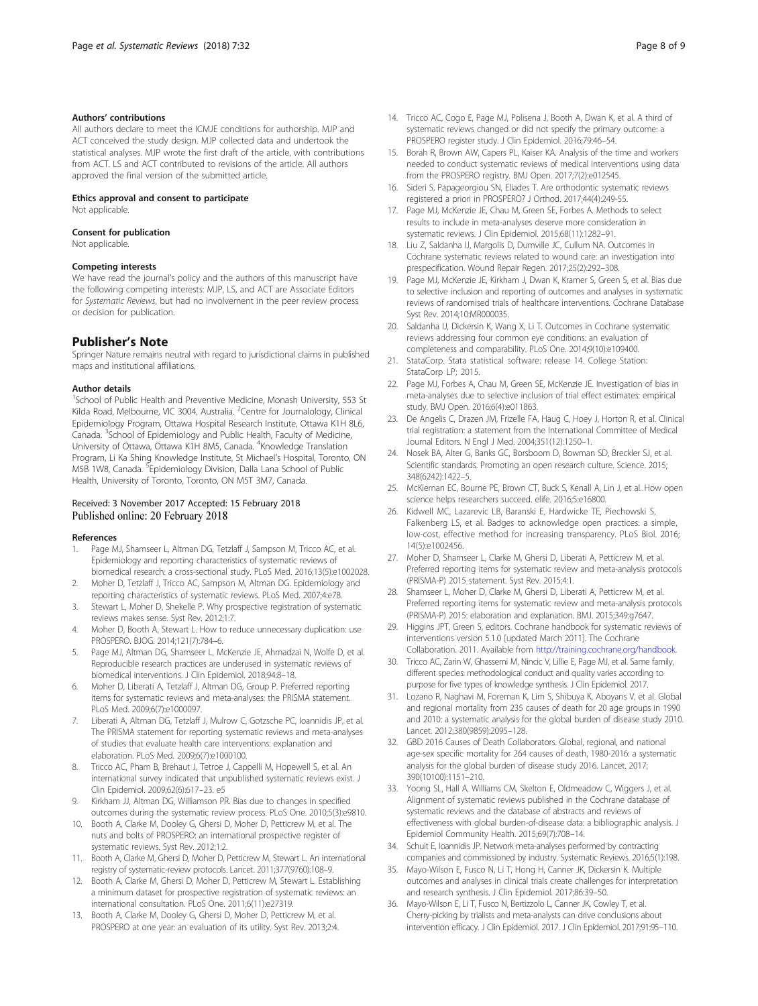## <span id="page-7-0"></span>Authors' contributions

All authors declare to meet the ICMJE conditions for authorship. MJP and ACT conceived the study design. MJP collected data and undertook the statistical analyses. MJP wrote the first draft of the article, with contributions from ACT. LS and ACT contributed to revisions of the article. All authors approved the final version of the submitted article.

#### Ethics approval and consent to participate

Not applicable.

#### Consent for publication

Not applicable.

#### Competing interests

We have read the journal's policy and the authors of this manuscript have the following competing interests: MJP, LS, and ACT are Associate Editors for Systematic Reviews, but had no involvement in the peer review process or decision for publication.

# Publisher's Note

Springer Nature remains neutral with regard to jurisdictional claims in published maps and institutional affiliations.

#### Author details

<sup>1</sup>School of Public Health and Preventive Medicine, Monash University, 553 St Kilda Road, Melbourne, VIC 3004, Australia. <sup>2</sup>Centre for Journalology, Clinical Epidemiology Program, Ottawa Hospital Research Institute, Ottawa K1H 8L6, Canada. <sup>3</sup>School of Epidemiology and Public Health, Faculty of Medicine, University of Ottawa, Ottawa K1H 8M5, Canada. <sup>4</sup>Knowledge Translation Program, Li Ka Shing Knowledge Institute, St Michael's Hospital, Toronto, ON M5B 1W8, Canada. <sup>5</sup>Epidemiology Division, Dalla Lana School of Public Health, University of Toronto, Toronto, ON M5T 3M7, Canada.

## Received: 3 November 2017 Accepted: 15 February 2018 Published online: 20 February 2018

#### References

- Page MJ, Shamseer L, Altman DG, Tetzlaff J, Sampson M, Tricco AC, et al. Epidemiology and reporting characteristics of systematic reviews of biomedical research: a cross-sectional study. PLoS Med. 2016;13(5):e1002028.
- 2. Moher D, Tetzlaff J, Tricco AC, Sampson M, Altman DG. Epidemiology and reporting characteristics of systematic reviews. PLoS Med. 2007;4:e78.
- 3. Stewart L, Moher D, Shekelle P. Why prospective registration of systematic reviews makes sense. Syst Rev. 2012;1:7.
- 4. Moher D, Booth A, Stewart L. How to reduce unnecessary duplication: use PROSPERO. BJOG. 2014;121(7):784–6.
- 5. Page MJ, Altman DG, Shamseer L, McKenzie JE, Ahmadzai N, Wolfe D, et al. Reproducible research practices are underused in systematic reviews of biomedical interventions. J Clin Epidemiol. 2018;94:8–18.
- 6. Moher D, Liberati A, Tetzlaff J, Altman DG, Group P. Preferred reporting items for systematic reviews and meta-analyses: the PRISMA statement. PLoS Med. 2009;6(7):e1000097.
- Liberati A, Altman DG, Tetzlaff J, Mulrow C, Gotzsche PC, Ioannidis JP, et al. The PRISMA statement for reporting systematic reviews and meta-analyses of studies that evaluate health care interventions: explanation and elaboration. PLoS Med. 2009;6(7):e1000100.
- 8. Tricco AC, Pham B, Brehaut J, Tetroe J, Cappelli M, Hopewell S, et al. An international survey indicated that unpublished systematic reviews exist. J Clin Epidemiol. 2009;62(6):617–23. e5
- Kirkham JJ, Altman DG, Williamson PR. Bias due to changes in specified outcomes during the systematic review process. PLoS One. 2010;5(3):e9810.
- 10. Booth A, Clarke M, Dooley G, Ghersi D, Moher D, Petticrew M, et al. The nuts and bolts of PROSPERO: an international prospective register of systematic reviews. Syst Rev. 2012;1:2.
- 11. Booth A, Clarke M, Ghersi D, Moher D, Petticrew M, Stewart L. An international registry of systematic-review protocols. Lancet. 2011;377(9760):108–9.
- 12. Booth A, Clarke M, Ghersi D, Moher D, Petticrew M, Stewart L. Establishing a minimum dataset for prospective registration of systematic reviews: an international consultation. PLoS One. 2011;6(11):e27319.
- 13. Booth A, Clarke M, Dooley G, Ghersi D, Moher D, Petticrew M, et al. PROSPERO at one year: an evaluation of its utility. Syst Rev. 2013;2:4.
- 14. Tricco AC, Cogo E, Page MJ, Polisena J, Booth A, Dwan K, et al. A third of systematic reviews changed or did not specify the primary outcome: a PROSPERO register study. J Clin Epidemiol. 2016;79:46–54.
- 15. Borah R, Brown AW, Capers PL, Kaiser KA. Analysis of the time and workers needed to conduct systematic reviews of medical interventions using data from the PROSPERO registry. BMJ Open. 2017;7(2):e012545.
- 16. Sideri S, Papageorgiou SN, Eliades T. Are orthodontic systematic reviews registered a priori in PROSPERO? J Orthod. 2017;44(4):249-55.
- 17. Page MJ, McKenzie JE, Chau M, Green SE, Forbes A. Methods to select results to include in meta-analyses deserve more consideration in systematic reviews. J Clin Epidemiol. 2015;68(11):1282–91.
- 18. Liu Z, Saldanha IJ, Margolis D, Dumville JC, Cullum NA. Outcomes in Cochrane systematic reviews related to wound care: an investigation into prespecification. Wound Repair Regen. 2017;25(2):292–308.
- 19. Page MJ, McKenzie JE, Kirkham J, Dwan K, Kramer S, Green S, et al. Bias due to selective inclusion and reporting of outcomes and analyses in systematic reviews of randomised trials of healthcare interventions. Cochrane Database Syst Rev. 2014;10:MR000035.
- 20. Saldanha IJ, Dickersin K, Wang X, Li T. Outcomes in Cochrane systematic reviews addressing four common eye conditions: an evaluation of completeness and comparability. PLoS One. 2014;9(10):e109400.
- 21. StataCorp. Stata statistical software: release 14. College Station: StataCorp LP; 2015.
- 22. Page MJ, Forbes A, Chau M, Green SE, McKenzie JE. Investigation of bias in meta-analyses due to selective inclusion of trial effect estimates: empirical study. BMJ Open. 2016;6(4):e011863.
- 23. De Angelis C, Drazen JM, Frizelle FA, Haug C, Hoey J, Horton R, et al. Clinical trial registration: a statement from the International Committee of Medical Journal Editors. N Engl J Med. 2004;351(12):1250–1.
- 24. Nosek BA, Alter G, Banks GC, Borsboom D, Bowman SD, Breckler SJ, et al. Scientific standards. Promoting an open research culture. Science. 2015; 348(6242):1422–5.
- 25. McKiernan EC, Bourne PE, Brown CT, Buck S, Kenall A, Lin J, et al. How open science helps researchers succeed. elife. 2016;5:e16800.
- 26. Kidwell MC, Lazarevic LB, Baranski E, Hardwicke TE, Piechowski S, Falkenberg LS, et al. Badges to acknowledge open practices: a simple, low-cost, effective method for increasing transparency. PLoS Biol. 2016; 14(5):e1002456.
- 27. Moher D, Shamseer L, Clarke M, Ghersi D, Liberati A, Petticrew M, et al. Preferred reporting items for systematic review and meta-analysis protocols (PRISMA-P) 2015 statement. Syst Rev. 2015;4:1.
- 28. Shamseer L, Moher D, Clarke M, Ghersi D, Liberati A, Petticrew M, et al. Preferred reporting items for systematic review and meta-analysis protocols (PRISMA-P) 2015: elaboration and explanation. BMJ. 2015;349:g7647.
- 29. Higgins JPT, Green S, editors. Cochrane handbook for systematic reviews of interventions version 5.1.0 [updated March 2011]. The Cochrane Collaboration. 2011. Available from [http://training.cochrane.org/handbook.](http://training.cochrane.org/handbook)
- 30. Tricco AC, Zarin W, Ghassemi M, Nincic V, Lillie E, Page MJ, et al. Same family, different species: methodological conduct and quality varies according to purpose for five types of knowledge synthesis. J Clin Epidemiol. 2017.
- 31. Lozano R, Naghavi M, Foreman K, Lim S, Shibuya K, Aboyans V, et al. Global and regional mortality from 235 causes of death for 20 age groups in 1990 and 2010: a systematic analysis for the global burden of disease study 2010. Lancet. 2012;380(9859):2095–128.
- 32. GBD 2016 Causes of Death Collaborators. Global, regional, and national age-sex specific mortality for 264 causes of death, 1980-2016: a systematic analysis for the global burden of disease study 2016. Lancet. 2017; 390(10100):1151–210.
- 33. Yoong SL, Hall A, Williams CM, Skelton E, Oldmeadow C, Wiggers J, et al. Alignment of systematic reviews published in the Cochrane database of systematic reviews and the database of abstracts and reviews of effectiveness with global burden-of-disease data: a bibliographic analysis. J Epidemiol Community Health. 2015;69(7):708–14.
- 34. Schuit E, Ioannidis JP. Network meta-analyses performed by contracting companies and commissioned by industry. Systematic Reviews. 2016;5(1):198.
- 35. Mayo-Wilson E, Fusco N, Li T, Hong H, Canner JK, Dickersin K. Multiple outcomes and analyses in clinical trials create challenges for interpretation and research synthesis. J Clin Epidemiol. 2017;86:39–50.
- 36. Mayo-Wilson E, Li T, Fusco N, Bertizzolo L, Canner JK, Cowley T, et al. Cherry-picking by trialists and meta-analysts can drive conclusions about intervention efficacy. J Clin Epidemiol. 2017. J Clin Epidemiol. 2017;91:95–110.